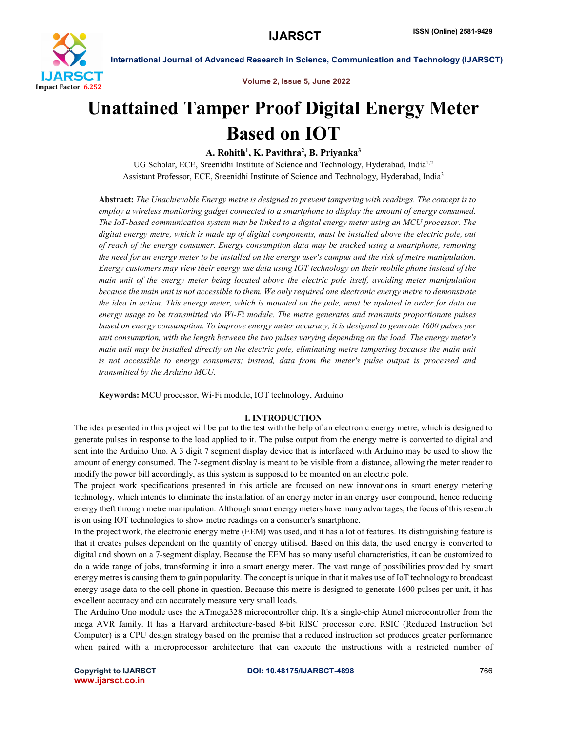

Volume 2, Issue 5, June 2022

# Unattained Tamper Proof Digital Energy Meter Based on IOT

# A. Rohith<sup>1</sup>, K. Pavithra<sup>2</sup>, B. Priyanka<sup>3</sup>

UG Scholar, ECE, Sreenidhi Institute of Science and Technology, Hyderabad, India<sup>1,2</sup> Assistant Professor, ECE, Sreenidhi Institute of Science and Technology, Hyderabad, India3

Abstract: *The Unachievable Energy metre is designed to prevent tampering with readings. The concept is to employ a wireless monitoring gadget connected to a smartphone to display the amount of energy consumed. The IoT-based communication system may be linked to a digital energy meter using an MCU processor. The digital energy metre, which is made up of digital components, must be installed above the electric pole, out of reach of the energy consumer. Energy consumption data may be tracked using a smartphone, removing the need for an energy meter to be installed on the energy user's campus and the risk of metre manipulation. Energy customers may view their energy use data using IOT technology on their mobile phone instead of the main unit of the energy meter being located above the electric pole itself, avoiding meter manipulation because the main unit is not accessible to them. We only required one electronic energy metre to demonstrate the idea in action. This energy meter, which is mounted on the pole, must be updated in order for data on energy usage to be transmitted via Wi-Fi module. The metre generates and transmits proportionate pulses based on energy consumption. To improve energy meter accuracy, it is designed to generate 1600 pulses per unit consumption, with the length between the two pulses varying depending on the load. The energy meter's main unit may be installed directly on the electric pole, eliminating metre tampering because the main unit is not accessible to energy consumers; instead, data from the meter's pulse output is processed and transmitted by the Arduino MCU.*

Keywords: MCU processor, Wi-Fi module, IOT technology, Arduino

### I. INTRODUCTION

The idea presented in this project will be put to the test with the help of an electronic energy metre, which is designed to generate pulses in response to the load applied to it. The pulse output from the energy metre is converted to digital and sent into the Arduino Uno. A 3 digit 7 segment display device that is interfaced with Arduino may be used to show the amount of energy consumed. The 7-segment display is meant to be visible from a distance, allowing the meter reader to modify the power bill accordingly, as this system is supposed to be mounted on an electric pole.

The project work specifications presented in this article are focused on new innovations in smart energy metering technology, which intends to eliminate the installation of an energy meter in an energy user compound, hence reducing energy theft through metre manipulation. Although smart energy meters have many advantages, the focus of this research is on using IOT technologies to show metre readings on a consumer's smartphone.

In the project work, the electronic energy metre (EEM) was used, and it has a lot of features. Its distinguishing feature is that it creates pulses dependent on the quantity of energy utilised. Based on this data, the used energy is converted to digital and shown on a 7-segment display. Because the EEM has so many useful characteristics, it can be customized to do a wide range of jobs, transforming it into a smart energy meter. The vast range of possibilities provided by smart energy metres is causing them to gain popularity. The concept is unique in that it makes use of IoT technology to broadcast energy usage data to the cell phone in question. Because this metre is designed to generate 1600 pulses per unit, it has excellent accuracy and can accurately measure very small loads.

The Arduino Uno module uses the ATmega328 microcontroller chip. It's a single-chip Atmel microcontroller from the mega AVR family. It has a Harvard architecture-based 8-bit RISC processor core. RSIC (Reduced Instruction Set Computer) is a CPU design strategy based on the premise that a reduced instruction set produces greater performance when paired with a microprocessor architecture that can execute the instructions with a restricted number of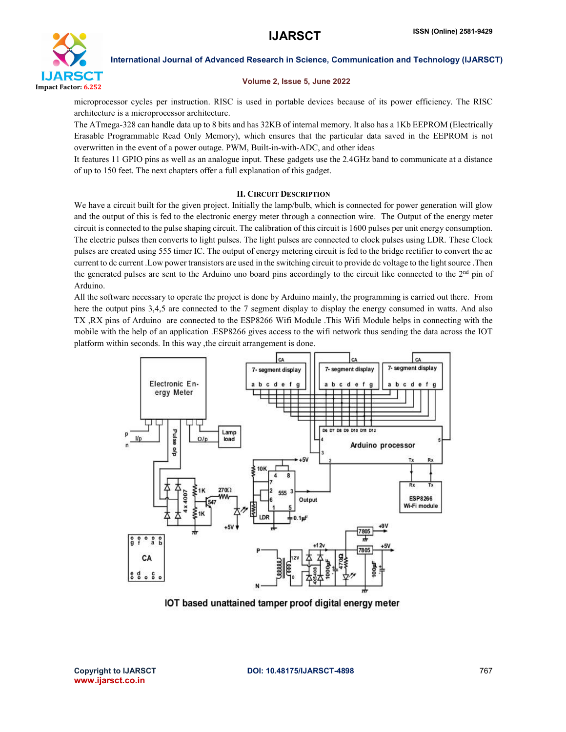

### Volume 2, Issue 5, June 2022

microprocessor cycles per instruction. RISC is used in portable devices because of its power efficiency. The RISC architecture is a microprocessor architecture.

The ATmega-328 can handle data up to 8 bits and has 32KB of internal memory. It also has a 1Kb EEPROM (Electrically Erasable Programmable Read Only Memory), which ensures that the particular data saved in the EEPROM is not overwritten in the event of a power outage. PWM, Built-in-with-ADC, and other ideas

It features 11 GPIO pins as well as an analogue input. These gadgets use the 2.4GHz band to communicate at a distance of up to 150 feet. The next chapters offer a full explanation of this gadget.

### II. CIRCUIT DESCRIPTION

We have a circuit built for the given project. Initially the lamp/bulb, which is connected for power generation will glow and the output of this is fed to the electronic energy meter through a connection wire. The Output of the energy meter circuit is connected to the pulse shaping circuit. The calibration of this circuit is 1600 pulses per unit energy consumption. The electric pulses then converts to light pulses. The light pulses are connected to clock pulses using LDR. These Clock pulses are created using 555 timer IC. The output of energy metering circuit is fed to the bridge rectifier to convert the ac current to dc current .Low power transistors are used in the switching circuit to provide dc voltage to the light source .Then the generated pulses are sent to the Arduino uno board pins accordingly to the circuit like connected to the  $2<sup>nd</sup>$  pin of Arduino.

All the software necessary to operate the project is done by Arduino mainly, the programming is carried out there. From here the output pins 3,4,5 are connected to the 7 segment display to display the energy consumed in watts. And also TX ,RX pins of Arduino are connected to the ESP8266 Wifi Module .This Wifi Module helps in connecting with the mobile with the help of an application .ESP8266 gives access to the wifi network thus sending the data across the IOT platform within seconds. In this way ,the circuit arrangement is done.



IOT based unattained tamper proof digital energy meter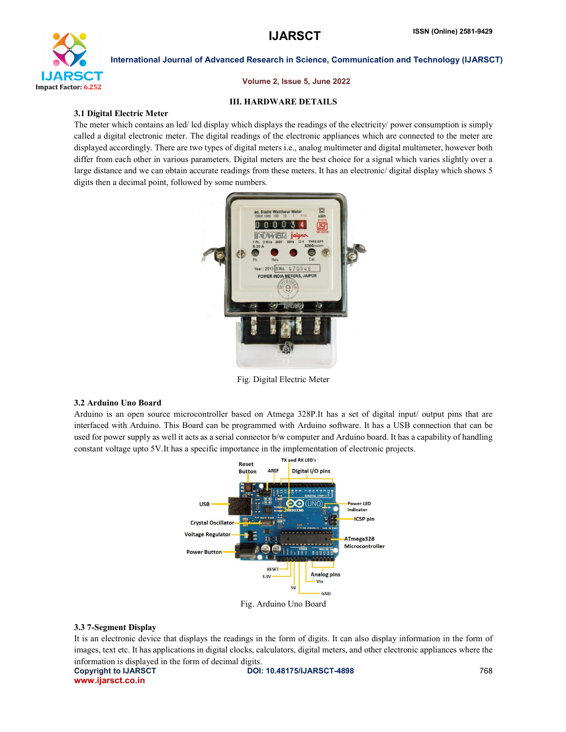

### Volume 2, Issue 5, June 2022

### III. HARDWARE DETAILS

### 3.1 Digital Electric Meter

The meter which contains an led/ lcd display which displays the readings of the electricity/ power consumption is simply called a digital electronic meter. The digital readings of the electronic appliances which are connected to the meter are displayed accordingly. There are two types of digital meters i.e., analog multimeter and digital multimeter, however both differ from each other in various parameters. Digital meters are the best choice for a signal which varies slightly over a large distance and we can obtain accurate readings from these meters. It has an electronic/ digital display which shows 5 digits then a decimal point, followed by some numbers.



Fig. Digital Electric Meter

### 3.2 Arduino Uno Board

Arduino is an open source microcontroller based on Atmega 328P.It has a set of digital input/ output pins that are interfaced with Arduino. This Board can be programmed with Arduino software. It has a USB connection that can be used for power supply as well it acts as a serial connector b/w computer and Arduino board. It has a capability of handling constant voltage upto 5V.It has a specific importance in the implementation of electronic projects.



Fig. Arduino Uno Board

### 3.3 7-Segment Display

It is an electronic device that displays the readings in the form of digits. It can also display information in the form of images, text etc. It has applications in digital clocks, calculators, digital meters, and other electronic appliances where the information is displayed in the form of decimal digits.

www.ijarsct.co.in

Copyright to IJARSCT **DOI: 10.48175/IJARSCT-4898** 768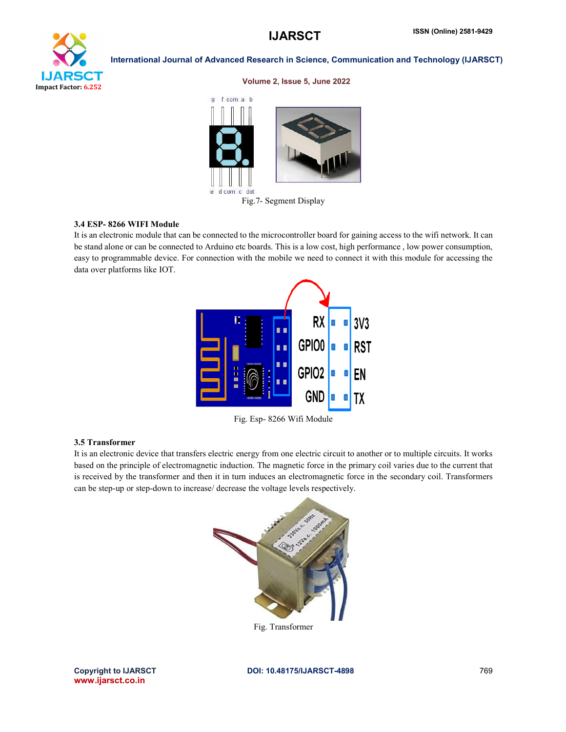

### Volume 2, Issue 5, June 2022



Fig.7- Segment Display

### 3.4 ESP- 8266 WIFI Module

It is an electronic module that can be connected to the microcontroller board for gaining access to the wifi network. It can be stand alone or can be connected to Arduino etc boards. This is a low cost, high performance , low power consumption, easy to programmable device. For connection with the mobile we need to connect it with this module for accessing the data over platforms like IOT.



Fig. Esp- 8266 Wifi Module

### 3.5 Transformer

It is an electronic device that transfers electric energy from one electric circuit to another or to multiple circuits. It works based on the principle of electromagnetic induction. The magnetic force in the primary coil varies due to the current that is received by the transformer and then it in turn induces an electromagnetic force in the secondary coil. Transformers can be step-up or step-down to increase/ decrease the voltage levels respectively.



Fig. Transformer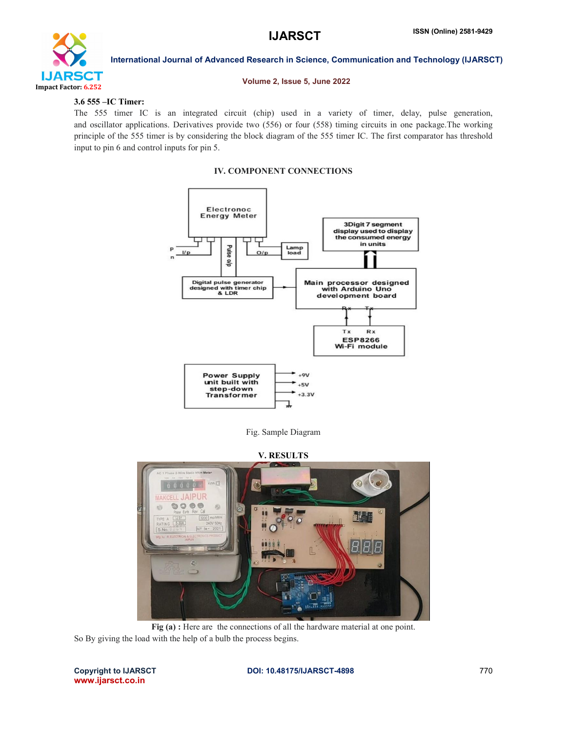

### Volume 2, Issue 5, June 2022

# 3.6 555 –IC Timer:

The 555 timer IC is an integrated circuit (chip) used in a variety of timer, delay, pulse generation, and oscillator applications. Derivatives provide two (556) or four (558) timing circuits in one package.The working principle of the 555 timer is by considering the block diagram of the 555 timer IC. The first comparator has threshold input to pin 6 and control inputs for pin 5.

### IV. COMPONENT CONNECTIONS



Fig. Sample Diagram

V. RESULTS



Fig (a) : Here are the connections of all the hardware material at one point. So By giving the load with the help of a bulb the process begins.

www.ijarsct.co.in

### Copyright to IJARSCT **DOI: 10.48175/IJARSCT-4898** 770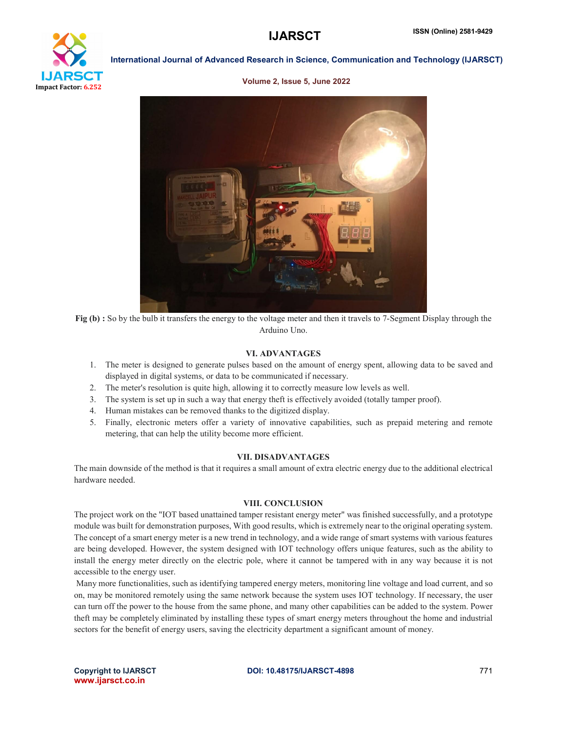# Impact Factor: 6.252

# International Journal of Advanced Research in Science, Communication and Technology (IJARSCT)

### Volume 2, Issue 5, June 2022



Fig (b) : So by the bulb it transfers the energy to the voltage meter and then it travels to 7-Segment Display through the Arduino Uno.

### VI. ADVANTAGES

- 1. The meter is designed to generate pulses based on the amount of energy spent, allowing data to be saved and displayed in digital systems, or data to be communicated if necessary.
- 2. The meter's resolution is quite high, allowing it to correctly measure low levels as well.
- 3. The system is set up in such a way that energy theft is effectively avoided (totally tamper proof).
- 4. Human mistakes can be removed thanks to the digitized display.
- 5. Finally, electronic meters offer a variety of innovative capabilities, such as prepaid metering and remote metering, that can help the utility become more efficient.

### VII. DISADVANTAGES

The main downside of the method is that it requires a small amount of extra electric energy due to the additional electrical hardware needed.

### VIII. CONCLUSION

The project work on the "IOT based unattained tamper resistant energy meter" was finished successfully, and a prototype module was built for demonstration purposes, With good results, which is extremely near to the original operating system. The concept of a smart energy meter is a new trend in technology, and a wide range of smart systems with various features are being developed. However, the system designed with IOT technology offers unique features, such as the ability to install the energy meter directly on the electric pole, where it cannot be tampered with in any way because it is not accessible to the energy user.

Many more functionalities, such as identifying tampered energy meters, monitoring line voltage and load current, and so on, may be monitored remotely using the same network because the system uses IOT technology. If necessary, the user can turn off the power to the house from the same phone, and many other capabilities can be added to the system. Power theft may be completely eliminated by installing these types of smart energy meters throughout the home and industrial sectors for the benefit of energy users, saving the electricity department a significant amount of money.